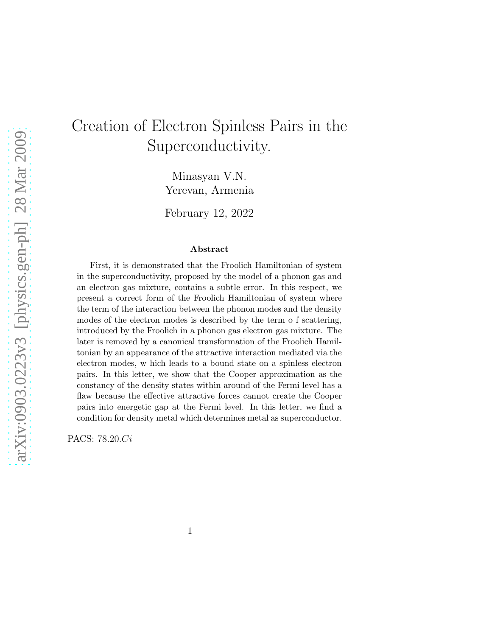# Creation of Electron Spinless Pairs in the Superconductivity.

Minasyan V.N. Yerevan, Armenia

February 12, 2022

#### Abstract

First, it is demonstrated that the Froolich Hamiltonian of system in the superconductivity, proposed by the model of a phonon gas and an electron gas mixture, contains a subtle error. In this respect, we present a correct form of the Froolich Hamiltonian of system where the term of the interaction between the phonon modes and the density modes of the electron modes is described by the term o f scattering, introduced by the Froolich in a phonon gas electron gas mixture. The later is removed by a canonical transformation of the Froolich Hamiltonian by an appearance of the attractive interaction mediated via the electron modes, w hich leads to a bound state on a spinless electron pairs. In this letter, we show that the Cooper approximation as the constancy of the density states within around of the Fermi level has a flaw because the effective attractive forces cannot create the Cooper pairs into energetic gap at the Fermi level. In this letter, we find a condition for density metal which determines metal as superconductor.

PACS: 78.20.Ci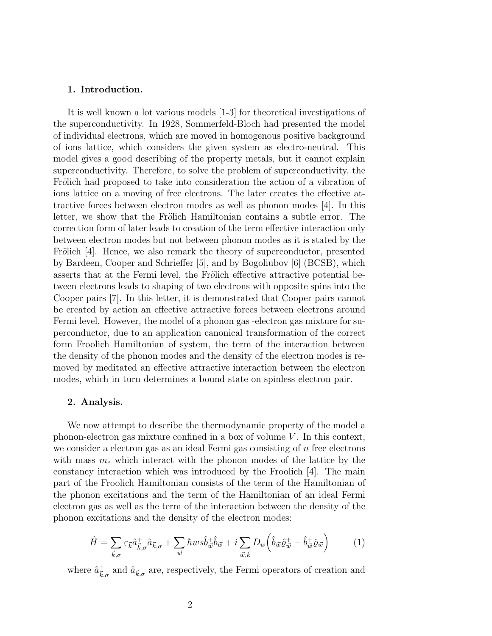#### 1. Introduction.

It is well known a lot various models [1-3] for theoretical investigations of the superconductivity. In 1928, Sommerfeld-Bloch had presented the model of individual electrons, which are moved in homogenous positive background of ions lattice, which considers the given system as electro-neutral. This model gives a good describing of the property metals, but it cannot explain superconductivity. Therefore, to solve the problem of superconductivity, the Frölich had proposed to take into consideration the action of a vibration of ions lattice on a moving of free electrons. The later creates the effective attractive forces between electron modes as well as phonon modes [4]. In this letter, we show that the Frölich Hamiltonian contains a subtle error. The correction form of later leads to creation of the term effective interaction only between electron modes but not between phonon modes as it is stated by the Frölich  $[4]$ . Hence, we also remark the theory of superconductor, presented by Bardeen, Cooper and Schrieffer [5], and by Bogoliubov [6] (BCSB), which asserts that at the Fermi level, the Frölich effective attractive potential between electrons leads to shaping of two electrons with opposite spins into the Cooper pairs [7]. In this letter, it is demonstrated that Cooper pairs cannot be created by action an effective attractive forces between electrons around Fermi level. However, the model of a phonon gas -electron gas mixture for superconductor, due to an application canonical transformation of the correct form Froolich Hamiltonian of system, the term of the interaction between the density of the phonon modes and the density of the electron modes is removed by meditated an effective attractive interaction between the electron modes, which in turn determines a bound state on spinless electron pair.

### 2. Analysis.

We now attempt to describe the thermodynamic property of the model a phonon-electron gas mixture confined in a box of volume  $V$ . In this context, we consider a electron gas as an ideal Fermi gas consisting of  $n$  free electrons with mass  $m_e$  which interact with the phonon modes of the lattice by the constancy interaction which was introduced by the Froolich [4]. The main part of the Froolich Hamiltonian consists of the term of the Hamiltonian of the phonon excitations and the term of the Hamiltonian of an ideal Fermi electron gas as well as the term of the interaction between the density of the phonon excitations and the density of the electron modes:

$$
\hat{H} = \sum_{\vec{k},\sigma} \varepsilon_{\vec{k}} \hat{a}^+_{\vec{k},\sigma} \hat{a}_{\vec{k},\sigma} + \sum_{\vec{w}} \hbar w s \hat{b}^+_{\vec{w}} \hat{b}_{\vec{w}} + i \sum_{\vec{w},\vec{k}} D_w \left( \hat{b}_{\vec{w}} \hat{\varrho}^+_{\vec{w}} - \hat{b}^+_{\vec{w}} \hat{\varrho}_{\vec{w}} \right) \tag{1}
$$

where  $\hat{a}^+_{\vec{k},\sigma}$  and  $\hat{a}_{\vec{k},\sigma}$  are, respectively, the Fermi operators of creation and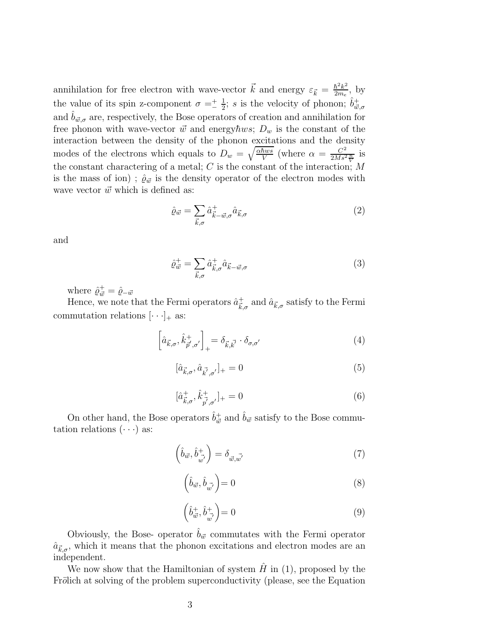annihilation for free electron with wave-vector  $\vec{k}$  and energy  $\varepsilon_{\vec{k}} = \frac{\hbar^2 k^2}{2m_e}$  $rac{h^2k^2}{2m_e}$ , by the value of its spin z-component  $\sigma = \frac{1}{2}$  $\frac{1}{2}$ ; *s* is the velocity of phonon;  $\hat{b}^+_{\vec{w},\sigma}$ and  $\hat{b}_{\vec{w},\sigma}$  are, respectively, the Bose operators of creation and annihilation for free phonon with wave-vector  $\vec{w}$  and energy $\hbar ws$ ;  $D_w$  is the constant of the interaction between the density of the phonon excitations and the density modes of the electrons which equals to  $D_w = \sqrt{\frac{\alpha \hbar ws}{V}}$  $\frac{\hbar ws}{V}$  (where  $\alpha = \frac{C^2}{2Ms^2}$  $rac{C^2}{2Ms^2\frac{n}{V}}$  is the constant charactering of a metal;  $C$  is the constant of the interaction;  $M$ is the mass of ion);  $\hat{\varrho}_{\vec{w}}$  is the density operator of the electron modes with wave vector  $\vec{w}$  which is defined as:

$$
\hat{\varrho}_{\vec{w}} = \sum_{\vec{k},\sigma} \hat{a}^+_{\vec{k}-\vec{w},\sigma} \hat{a}_{\vec{k},\sigma} \tag{2}
$$

and

$$
\hat{\varrho}_{\vec{w}}^+ = \sum_{\vec{k},\sigma} \hat{a}_{\vec{k},\sigma}^+ \hat{a}_{\vec{k}-\vec{w},\sigma} \tag{3}
$$

where  $\hat{\varrho}_{\vec{w}}^+ = \hat{\varrho}_{-\vec{w}}$ 

Hence, we note that the Fermi operators  $\hat{a}^+_{\vec{k},\sigma}$  and  $\hat{a}_{\vec{k},\sigma}$  satisfy to the Fermi commutation relations  $[\cdot \cdot \cdot]_+$  as:

$$
\left[\hat{a}_{\vec{k},\sigma},\hat{k}_{\vec{p}',\sigma'}^+\right]_+ = \delta_{\vec{k},\vec{k'}} \cdot \delta_{\sigma,\sigma'} \tag{4}
$$

$$
[\hat{a}_{\vec{k},\sigma}, \hat{a}_{\vec{k}',\sigma'}]_+ = 0 \tag{5}
$$

$$
[\hat{a}^+_{\vec{k},\sigma}, \hat{k}^+_{\vec{p'},\sigma'}]_+ = 0 \tag{6}
$$

On other hand, the Bose operators  $\hat{b}^+_{\vec{w}}$  and  $\hat{b}_{\vec{w}}$  satisfy to the Bose commutation relations  $(\cdot \cdot \cdot)$  as:

$$
\left(\hat{b}_{\vec{w}}, \hat{b}_{\vec{w'}}^+\right) = \delta_{\vec{w}, \vec{w'}}\tag{7}
$$

$$
\left(\hat{b}_{\vec{w}}, \hat{b}_{\vec{w'}}\right) = 0\tag{8}
$$

$$
\left(\hat{b}_{\vec{w}}^{+}, \hat{b}_{\vec{w'}}^{+}\right) = 0\tag{9}
$$

Obviously, the Bose- operator  $\hat{b}_{\vec{w}}$  commutates with the Fermi operator  $\hat{a}_{\vec{k},\sigma}$ , which it means that the phonon excitations and electron modes are an independent.

We now show that the Hamiltonian of system  $H$  in (1), proposed by the Frölich at solving of the problem superconductivity (please, see the Equation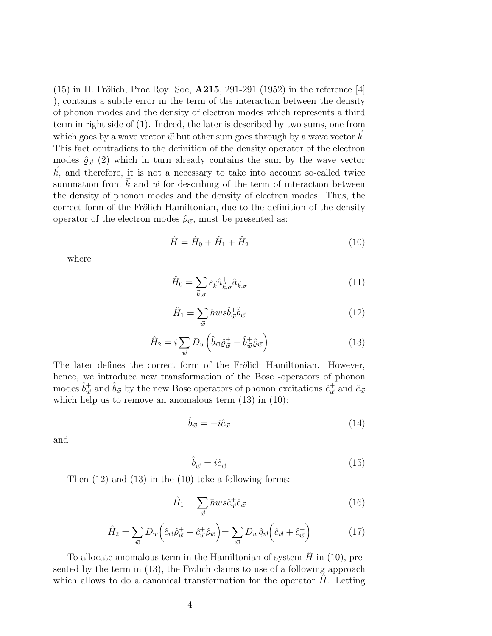$(15)$  in H. Frölich, Proc.Roy. Soc,  $\mathbf{A215}$ , 291-291 (1952) in the reference [4] ), contains a subtle error in the term of the interaction between the density of phonon modes and the density of electron modes which represents a third term in right side of (1). Indeed, the later is described by two sums, one from which goes by a wave vector  $\vec{w}$  but other sum goes through by a wave vector  $\vec{k}$ . This fact contradicts to the definition of the density operator of the electron modes  $\hat{\varrho}_{\vec{w}}(2)$  which in turn already contains the sum by the wave vector  $\vec{k}$ , and therefore, it is not a necessary to take into account so-called twice summation from  $\vec{k}$  and  $\vec{w}$  for describing of the term of interaction between the density of phonon modes and the density of electron modes. Thus, the correct form of the Frölich Hamiltonian, due to the definition of the density operator of the electron modes  $\hat{\varrho}_{\vec{w}}$ , must be presented as:

$$
\hat{H} = \hat{H}_0 + \hat{H}_1 + \hat{H}_2 \tag{10}
$$

where

$$
\hat{H}_0 = \sum_{\vec{k},\sigma} \varepsilon_{\vec{k}} \hat{a}^+_{\vec{k},\sigma} \hat{a}_{\vec{k},\sigma} \tag{11}
$$

$$
\hat{H}_1 = \sum_{\vec{w}} \hbar w s \hat{b}_{\vec{w}}^{\dagger} \hat{b}_{\vec{w}} \tag{12}
$$

$$
\hat{H}_2 = i \sum_{\vec{w}} D_w \left( \hat{b}_{\vec{w}} \hat{\varrho}_{\vec{w}}^+ - \hat{b}_{\vec{w}}^+ \hat{\varrho}_{\vec{w}} \right) \tag{13}
$$

The later defines the correct form of the Frölich Hamiltonian. However, hence, we introduce new transformation of the Bose -operators of phonon modes  $\hat{b}^+_{\vec{w}}$  and  $\hat{b}_{\vec{w}}$  by the new Bose operators of phonon excitations  $\hat{c}^+_{\vec{w}}$  and  $\hat{c}_{\vec{w}}$ which help us to remove an anomalous term  $(13)$  in  $(10)$ :

$$
\hat{b}_{\vec{w}} = -i\hat{c}_{\vec{w}}\tag{14}
$$

and

$$
\hat{b}_{\vec{w}}^+ = i \hat{c}_{\vec{w}}^+ \tag{15}
$$

Then (12) and (13) in the (10) take a following forms:

$$
\hat{H}_1 = \sum_{\vec{w}} \hbar ws \hat{c}_{\vec{w}}^{\dagger} \hat{c}_{\vec{w}} \tag{16}
$$

$$
\hat{H}_2 = \sum_{\vec{w}} D_w \left( \hat{c}_{\vec{w}} \hat{\varrho}_{\vec{w}}^+ + \hat{c}_{\vec{w}}^+ \hat{\varrho}_{\vec{w}} \right) = \sum_{\vec{w}} D_w \hat{\varrho}_{\vec{w}} \left( \hat{c}_{\vec{w}} + \hat{c}_{\vec{w}}^+ \right) \tag{17}
$$

To allocate anomalous term in the Hamiltonian of system  $H$  in (10), presented by the term in  $(13)$ , the Frölich claims to use of a following approach which allows to do a canonical transformation for the operator  $H$ . Letting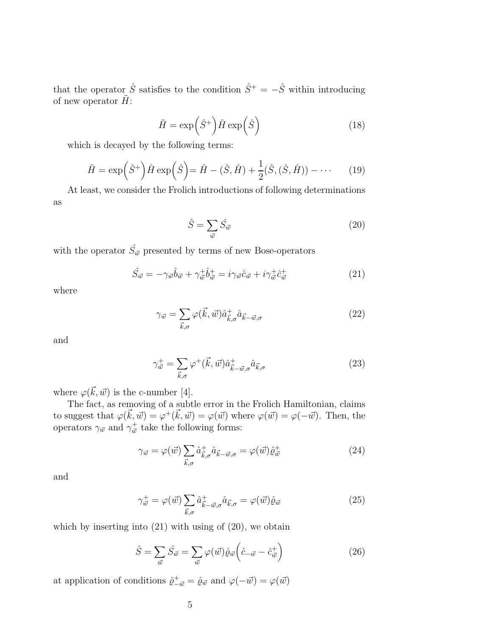that the operator  $\hat{S}$  satisfies to the condition  $\hat{S}^+ = -\hat{S}$  within introducing of new operator  $\tilde{H}$ :

$$
\tilde{H} = \exp\left(\hat{S}^+\right)\hat{H}\exp\left(\hat{S}\right) \tag{18}
$$

which is decayed by the following terms:

$$
\tilde{H} = \exp\left(\hat{S}^+\right)\hat{H}\exp\left(\hat{S}\right) = \hat{H} - (\hat{S}, \hat{H}) + \frac{1}{2}(\hat{S}, (\hat{S}, \hat{H})) - \cdots
$$
(19)

At least, we consider the Frolich introductions of following determinations as

$$
\hat{S} = \sum_{\vec{w}} \hat{S}_{\vec{w}} \tag{20}
$$

with the operator  $\hat{S}_{\vec{w}}$  presented by terms of new Bose-operators

$$
\hat{S}_{\vec{w}} = -\gamma_{\vec{w}} \hat{b}_{\vec{w}} + \gamma_{\vec{w}}^+ \hat{b}_{\vec{w}}^+ = i \gamma_{\vec{w}} \hat{c}_{\vec{w}} + i \gamma_{\vec{w}}^+ \hat{c}_{\vec{w}}^+ \tag{21}
$$

where

$$
\gamma_{\vec{w}} = \sum_{\vec{k},\sigma} \varphi(\vec{k}, \vec{w}) \hat{a}^+_{\vec{k},\sigma} \hat{a}_{\vec{k}-\vec{w},\sigma} \tag{22}
$$

and

$$
\gamma_{\vec{w}}^+ = \sum_{\vec{k},\sigma} \varphi^+(\vec{k}, \vec{w}) \hat{a}_{\vec{k}-\vec{w},\sigma}^+ \hat{a}_{\vec{k},\sigma} \tag{23}
$$

where  $\varphi(\vec{k}, \vec{w})$  is the c-number [4].

The fact, as removing of a subtle error in the Frolich Hamiltonian, claims to suggest that  $\varphi(\vec{k}, \vec{w}) = \varphi^+(\vec{k}, \vec{w}) = \varphi(\vec{w})$  where  $\varphi(\vec{w}) = \varphi(-\vec{w})$ . Then, the operators  $\gamma_{\vec{w}}$  and  $\gamma_{\vec{w}}^+$  take the following forms:

$$
\gamma_{\vec{w}} = \varphi(\vec{w}) \sum_{\vec{k}, \sigma} \hat{a}_{\vec{k}, \sigma}^{\dagger} \hat{a}_{\vec{k} - \vec{w}, \sigma} = \varphi(\vec{w}) \hat{\varrho}_{\vec{w}}^+ \tag{24}
$$

and

$$
\gamma_{\vec{w}}^+ = \varphi(\vec{w}) \sum_{\vec{k},\sigma} \hat{a}_{\vec{k}-\vec{w},\sigma}^+ \hat{a}_{\vec{k},\sigma} = \varphi(\vec{w}) \hat{\varrho}_{\vec{w}} \tag{25}
$$

which by inserting into  $(21)$  with using of  $(20)$ , we obtain

$$
\hat{S} = \sum_{\vec{w}} \hat{S}_{\vec{w}} = \sum_{\vec{w}} \varphi(\vec{w}) \hat{\varrho}_{\vec{w}} \left(\hat{c}_{-\vec{w}} - \hat{c}_{\vec{w}}^{+}\right)
$$
(26)

at application of conditions  $\hat{\varrho}_{-\vec{w}}^+ = \hat{\varrho}_{\vec{w}}$  and  $\varphi(-\vec{w}) = \varphi(\vec{w})$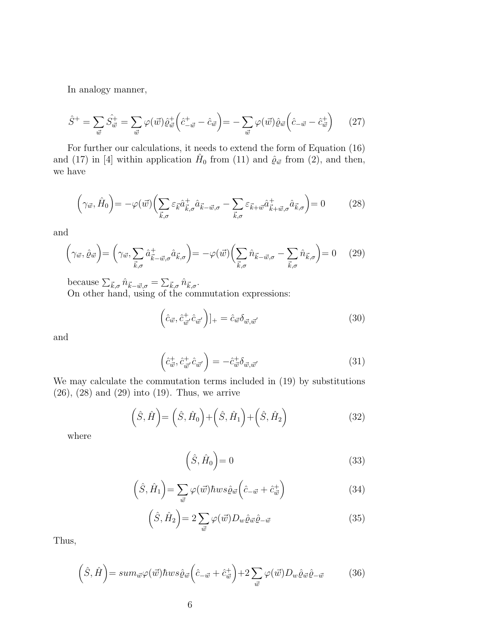In analogy manner,

$$
\hat{S}^{+} = \sum_{\vec{w}} \hat{S}_{\vec{w}}^{+} = \sum_{\vec{w}} \varphi(\vec{w}) \hat{e}_{\vec{w}}^{+} \left( \hat{c}_{-\vec{w}}^{+} - \hat{c}_{\vec{w}} \right) = -\sum_{\vec{w}} \varphi(\vec{w}) \hat{e}_{\vec{w}} \left( \hat{c}_{-\vec{w}} - \hat{c}_{\vec{w}}^{+} \right) \tag{27}
$$

For further our calculations, it needs to extend the form of Equation (16) and (17) in [4] within application  $\hat{H}_0$  from (11) and  $\hat{\varrho}_{\vec{w}}$  from (2), and then, we have

$$
\left(\gamma_{\vec{w}},\hat{H}_0\right) = -\varphi(\vec{w})\left(\sum_{\vec{k},\sigma} \varepsilon_{\vec{k}} \hat{a}_{\vec{k},\sigma}^+ \hat{a}_{\vec{k}-\vec{w},\sigma} - \sum_{\vec{k},\sigma} \varepsilon_{\vec{k}+\vec{w}} \hat{a}_{\vec{k}+\vec{w},\sigma}^+ \hat{a}_{\vec{k},\sigma}^-\right) = 0 \tag{28}
$$

and

$$
\left(\gamma_{\vec{w}},\hat{\varrho}_{\vec{w}}\right) = \left(\gamma_{\vec{w}},\sum_{\vec{k},\sigma}\hat{a}_{\vec{k}-\vec{w},\sigma}^{\dagger}\hat{a}_{\vec{k},\sigma}\right) = -\varphi(\vec{w})\left(\sum_{\vec{k},\sigma}\hat{n}_{\vec{k}-\vec{w},\sigma} - \sum_{\vec{k},\sigma}\hat{n}_{\vec{k},\sigma}\right) = 0 \quad (29)
$$

because  $\sum_{\vec{k},\sigma} \hat{n}_{\vec{k}-\vec{w},\sigma} = \sum_{\vec{k},\sigma} \hat{n}_{\vec{k},\sigma}$ .

On other hand, using of the commutation expressions:

$$
\left(\hat{c}_{\vec{w}}, \hat{c}_{\vec{w}'}^+ \hat{c}_{\vec{w}'}\right)]_+ = \hat{c}_{\vec{w}} \delta_{\vec{w}, \vec{w}'} \tag{30}
$$

and

$$
\left(\hat{c}_{\vec{w}}^+, \hat{c}_{\vec{w}'}^+ \hat{c}_{\vec{w}'}\right) = -\hat{c}_{\vec{w}}^+ \delta_{\vec{w}, \vec{w}'} \tag{31}
$$

We may calculate the commutation terms included in (19) by substitutions (26), (28) and (29) into (19). Thus, we arrive

$$
\left(\hat{S},\hat{H}\right) = \left(\hat{S},\hat{H}_0\right) + \left(\hat{S},\hat{H}_1\right) + \left(\hat{S},\hat{H}_2\right) \tag{32}
$$

where

$$
(\hat{S}, \hat{H}_0) = 0 \tag{33}
$$

$$
(\hat{S}, \hat{H}_1) = \sum_{\vec{w}} \varphi(\vec{w}) \hbar w s \hat{\varrho}_{\vec{w}} \left(\hat{c}_{-\vec{w}} + \hat{c}_{\vec{w}}^+\right)
$$
(34)

$$
(\hat{S}, \hat{H}_2) = 2 \sum_{\vec{w}} \varphi(\vec{w}) D_w \hat{\varrho}_{\vec{w}} \hat{\varrho}_{-\vec{w}} \tag{35}
$$

Thus,

$$
\left(\hat{S},\hat{H}\right) = sum_{\vec{w}}\varphi(\vec{w})\hbar ws \hat{\varrho}_{\vec{w}}\left(\hat{c}_{-\vec{w}} + \hat{c}_{\vec{w}}^{+}\right) + 2\sum_{\vec{w}}\varphi(\vec{w})D_{w}\hat{\varrho}_{\vec{w}}\hat{\varrho}_{-\vec{w}} \tag{36}
$$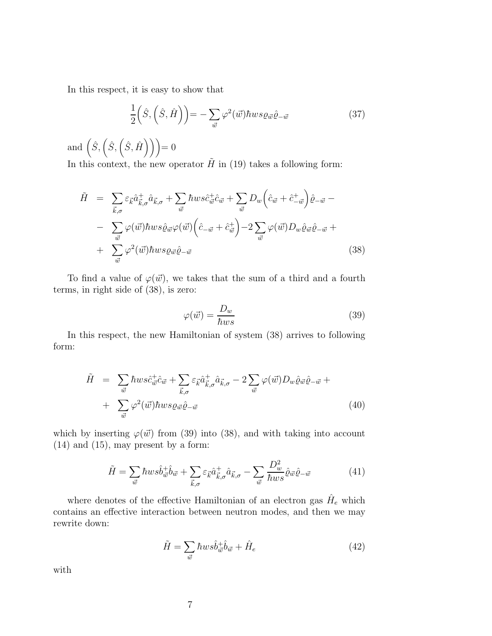In this respect, it is easy to show that

$$
\frac{1}{2}\left(\hat{S},\left(\hat{S},\hat{H}\right)\right) = -\sum_{\vec{w}}\varphi^2(\vec{w})\hbar ws \varrho_{\vec{w}}\hat{\varrho}_{-\vec{w}}\tag{37}
$$

and  $(\hat{S}, (\hat{S}, (\hat{S}, \hat{H}))) = 0$ 

In this context, the new operator  $\tilde{H}$  in (19) takes a following form:

$$
\tilde{H} = \sum_{\vec{k},\sigma} \varepsilon_{\vec{k}} \hat{a}^+_{\vec{k},\sigma} \hat{a}_{\vec{k},\sigma} + \sum_{\vec{w}} \hbar ws \hat{c}^+_{\vec{w}} \hat{c}_{\vec{w}} + \sum_{\vec{w}} D_w \left( \hat{c}_{\vec{w}} + \hat{c}^+_{-\vec{w}} \right) \hat{\varrho}_{-\vec{w}} - \n- \sum_{\vec{w}} \varphi(\vec{w}) \hbar ws \hat{\varrho}_{\vec{w}} \varphi(\vec{w}) \left( \hat{c}_{-\vec{w}} + \hat{c}^+_{\vec{w}} \right) - 2 \sum_{\vec{w}} \varphi(\vec{w}) D_w \hat{\varrho}_{\vec{w}} \hat{\varrho}_{-\vec{w}} + \n+ \sum_{\vec{w}} \varphi^2(\vec{w}) \hbar ws \varrho_{\vec{w}} \hat{\varrho}_{-\vec{w}} \tag{38}
$$

To find a value of  $\varphi(\vec{w})$ , we takes that the sum of a third and a fourth terms, in right side of (38), is zero:

$$
\varphi(\vec{w}) = \frac{D_w}{\hbar ws} \tag{39}
$$

In this respect, the new Hamiltonian of system (38) arrives to following form:

$$
\tilde{H} = \sum_{\vec{w}} \hbar ws \hat{c}_{\vec{w}}^{\dagger} \hat{c}_{\vec{w}} + \sum_{\vec{k},\sigma} \varepsilon_{\vec{k}} \hat{a}_{\vec{k},\sigma}^{\dagger} \hat{a}_{\vec{k},\sigma} - 2 \sum_{\vec{w}} \varphi(\vec{w}) D_w \hat{\varrho}_{\vec{w}} \hat{\varrho}_{-\vec{w}} + \n+ \sum_{\vec{w}} \varphi^2(\vec{w}) \hbar ws \varrho_{\vec{w}} \hat{\varrho}_{-\vec{w}}
$$
\n(40)

which by inserting  $\varphi(\vec{w})$  from (39) into (38), and with taking into account  $(14)$  and  $(15)$ , may present by a form:

$$
\tilde{H} = \sum_{\vec{w}} \hbar w s \hat{b}_{\vec{w}}^{\dagger} \hat{b}_{\vec{w}} + \sum_{\vec{k},\sigma} \varepsilon_{\vec{k}} \hat{a}_{\vec{k},\sigma}^{\dagger} \hat{a}_{\vec{k},\sigma} - \sum_{\vec{w}} \frac{D_w^2}{\hbar w s} \hat{\varrho}_{\vec{w}} \hat{\varrho}_{-\vec{w}} \tag{41}
$$

where denotes of the effective Hamiltonian of an electron gas  $\hat{H}_e$  which contains an effective interaction between neutron modes, and then we may rewrite down:

$$
\tilde{H} = \sum_{\vec{w}} \hbar w s \hat{b}_{\vec{w}}^{\dagger} \hat{b}_{\vec{w}} + \hat{H}_e \tag{42}
$$

with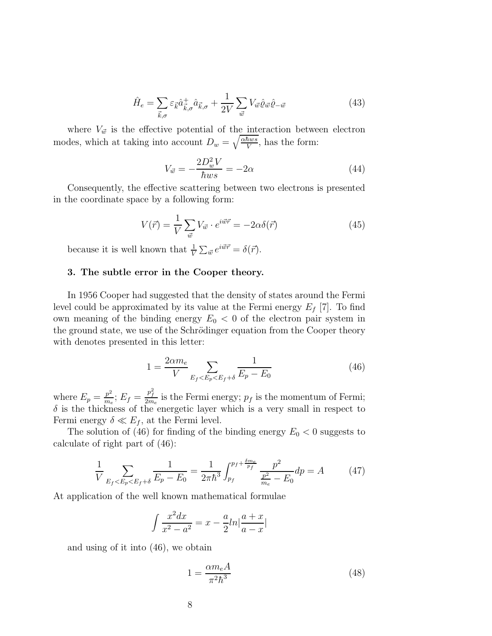$$
\hat{H}_e = \sum_{\vec{k},\sigma} \varepsilon_{\vec{k}} \hat{a}^+_{\vec{k},\sigma} \hat{a}_{\vec{k},\sigma} + \frac{1}{2V} \sum_{\vec{w}} V_{\vec{w}} \hat{\varrho}_{\vec{w}} \hat{\varrho}_{-\vec{w}}
$$
(43)

where  $V_{\vec{w}}$  is the effective potential of the interaction between electron modes, which at taking into account  $D_w = \sqrt{\frac{\alpha \hbar ws}{V}}$  $\frac{hws}{V}$ , has the form:

$$
V_{\vec{w}} = -\frac{2D_w^2 V}{\hbar ws} = -2\alpha \tag{44}
$$

Consequently, the effective scattering between two electrons is presented in the coordinate space by a following form:

$$
V(\vec{r}) = \frac{1}{V} \sum_{\vec{w}} V_{\vec{w}} \cdot e^{i\vec{w}\vec{r}} = -2\alpha \delta(\vec{r}) \tag{45}
$$

because it is well known that  $\frac{1}{V} \sum_{\vec{w}} e^{i\vec{w}\vec{r}} = \delta(\vec{r}).$ 

# 3. The subtle error in the Cooper theory.

In 1956 Cooper had suggested that the density of states around the Fermi level could be approximated by its value at the Fermi energy  $E_f$  [7]. To find own meaning of the binding energy  $E_0 < 0$  of the electron pair system in the ground state, we use of the Schrödinger equation from the Cooper theory with denotes presented in this letter:

$$
1 = \frac{2\alpha m_e}{V} \sum_{E_f < E_p < E_f + \delta} \frac{1}{E_p - E_0} \tag{46}
$$

where  $E_p = \frac{p^2}{m_e}$  $\frac{p^2}{m_e}$ ;  $E_f = \frac{p_f^2}{2m_e}$  is the Fermi energy;  $p_f$  is the momentum of Fermi;  $\delta$  is the thickness of the energetic layer which is a very small in respect to Fermi energy  $\delta \ll E_f$ , at the Fermi level.

The solution of (46) for finding of the binding energy  $E_0 < 0$  suggests to calculate of right part of (46):

$$
\frac{1}{V} \sum_{E_f < E_p < E_f + \delta} \frac{1}{E_p - E_0} = \frac{1}{2\pi\hbar^3} \int_{p_f}^{p_f + \frac{\delta m_e}{p_f}} \frac{p^2}{\frac{p^2}{m_e} - E_0} dp = A \tag{47}
$$

At application of the well known mathematical formulae

$$
\int \frac{x^2 dx}{x^2 - a^2} = x - \frac{a}{2} ln \left| \frac{a + x}{a - x} \right|
$$

and using of it into (46), we obtain

$$
1 = \frac{\alpha m_e A}{\pi^2 \hbar^3} \tag{48}
$$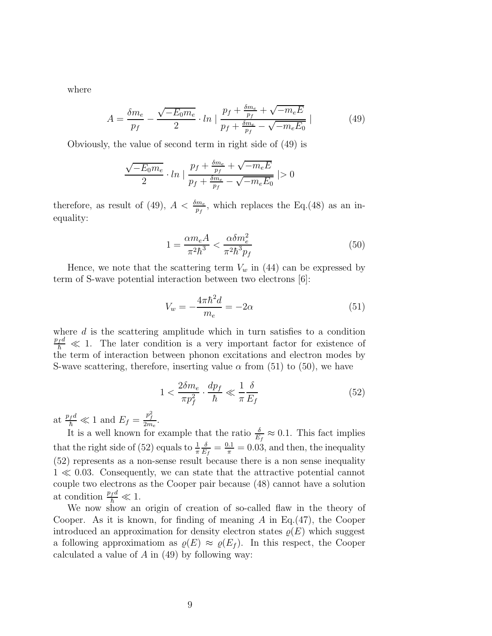where

$$
A = \frac{\delta m_e}{p_f} - \frac{\sqrt{-E_0 m_e}}{2} \cdot \ln \left| \frac{p_f + \frac{\delta m_e}{p_f} + \sqrt{-m_e E}}{p_f + \frac{\delta m_e}{p_f} - \sqrt{-m_e E_0}} \right| \tag{49}
$$

Obviously, the value of second term in right side of (49) is

$$
\frac{\sqrt{-E_0 m_e}}{2} \cdot \ln \left| \frac{p_f + \frac{\delta m_e}{p_f} + \sqrt{-m_e E}}{p_f + \frac{\delta m_e}{p_f} - \sqrt{-m_e E_0}} \right| > 0
$$

therefore, as result of (49),  $A < \frac{\delta m_e}{p_f}$ , which replaces the Eq.(48) as an inequality:

$$
1 = \frac{\alpha m_e A}{\pi^2 \hbar^3} < \frac{\alpha \delta m_e^2}{\pi^2 \hbar^3 p_f} \tag{50}
$$

Hence, we note that the scattering term  $V_w$  in (44) can be expressed by term of S-wave potential interaction between two electrons [6]:

$$
V_w = -\frac{4\pi\hbar^2 d}{m_e} = -2\alpha\tag{51}
$$

where  $d$  is the scattering amplitude which in turn satisfies to a condition  $\frac{p_f d}{\hbar} \ll 1$ . The later condition is a very important factor for existence of the term of interaction between phonon excitations and electron modes by S-wave scattering, therefore, inserting value  $\alpha$  from (51) to (50), we have

$$
1 < \frac{2\delta m_e}{\pi p_f^2} \cdot \frac{dp_f}{\hbar} \ll \frac{1}{\pi} \frac{\delta}{E_f} \tag{52}
$$

at  $\frac{p_f d}{\hbar} \ll 1$  and  $E_f = \frac{p_f^2}{2m_e}$ .

It is a well known for example that the ratio  $\frac{\delta}{E_f} \approx 0.1$ . This fact implies that the right side of (52) equals to  $\frac{1}{\pi}$ δ  $\frac{\delta}{E_f} = \frac{0.1}{\pi} = 0.03$ , and then, the inequality (52) represents as a non-sense result because there is a non sense inequality 1 ≪ 0.03. Consequently, we can state that the attractive potential cannot couple two electrons as the Cooper pair because (48) cannot have a solution at condition  $\frac{p_f d}{\hbar} \ll 1$ .

We now show an origin of creation of so-called flaw in the theory of Cooper. As it is known, for finding of meaning  $A$  in Eq.(47), the Cooper introduced an approximation for density electron states  $\rho(E)$  which suggest a following approximation as  $\rho(E) \approx \rho(E_f)$ . In this respect, the Cooper calculated a value of  $A$  in (49) by following way: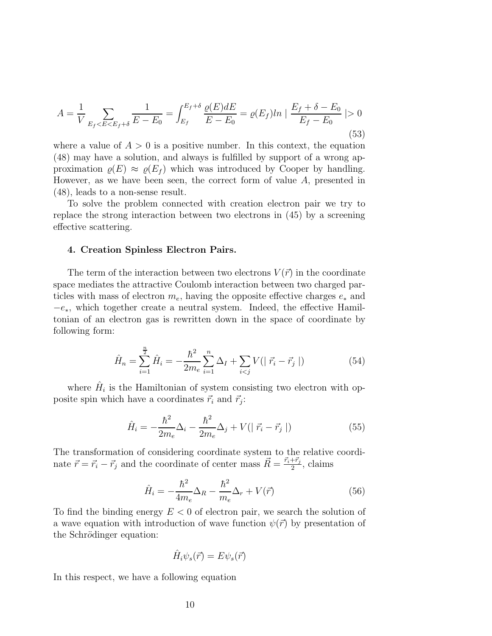$$
A = \frac{1}{V} \sum_{E_f < E < E_f + \delta} \frac{1}{E - E_0} = \int_{E_f}^{E_f + \delta} \frac{\varrho(E) dE}{E - E_0} = \varrho(E_f) \ln \left| \frac{E_f + \delta - E_0}{E_f - E_0} \right| > 0 \tag{53}
$$

where a value of  $A > 0$  is a positive number. In this context, the equation (48) may have a solution, and always is fulfilled by support of a wrong approximation  $\rho(E) \approx \rho(E_f)$  which was introduced by Cooper by handling. However, as we have been seen, the correct form of value A, presented in (48), leads to a non-sense result.

To solve the problem connected with creation electron pair we try to replace the strong interaction between two electrons in (45) by a screening effective scattering.

#### 4. Creation Spinless Electron Pairs.

The term of the interaction between two electrons  $V(\vec{r})$  in the coordinate space mediates the attractive Coulomb interaction between two charged particles with mass of electron  $m_e$ , having the opposite effective charges  $e_*$  and  $-e<sub>*</sub>$ , which together create a neutral system. Indeed, the effective Hamiltonian of an electron gas is rewritten down in the space of coordinate by following form:

$$
\hat{H}_n = \sum_{i=1}^{\frac{n}{2}} \hat{H}_i = -\frac{\hbar^2}{2m_e} \sum_{i=1}^n \Delta_I + \sum_{i < j} V(|\vec{r}_i - \vec{r}_j|) \tag{54}
$$

where  $\hat{H}_i$  is the Hamiltonian of system consisting two electron with opposite spin which have a coordinates  $\vec{r}_i$  and  $\vec{r}_j$ :

$$
\hat{H}_i = -\frac{\hbar^2}{2m_e}\Delta_i - \frac{\hbar^2}{2m_e}\Delta_j + V(|\vec{r}_i - \vec{r}_j|)
$$
\n(55)

The transformation of considering coordinate system to the relative coordinate  $\vec{r} = \vec{r}_i - \vec{r}_j$  and the coordinate of center mass  $\vec{R} = \frac{\vec{r}_i + \vec{r}_j}{2}$  $\frac{+r_j}{2}$ , claims

$$
\hat{H}_i = -\frac{\hbar^2}{4m_e}\Delta_R - \frac{\hbar^2}{m_e}\Delta_r + V(\vec{r})
$$
\n(56)

To find the binding energy  $E < 0$  of electron pair, we search the solution of a wave equation with introduction of wave function  $\psi(\vec{r})$  by presentation of the Schrödinger equation:

$$
\hat{H}_i \psi_s(\vec{r}) = E \psi_s(\vec{r})
$$

In this respect, we have a following equation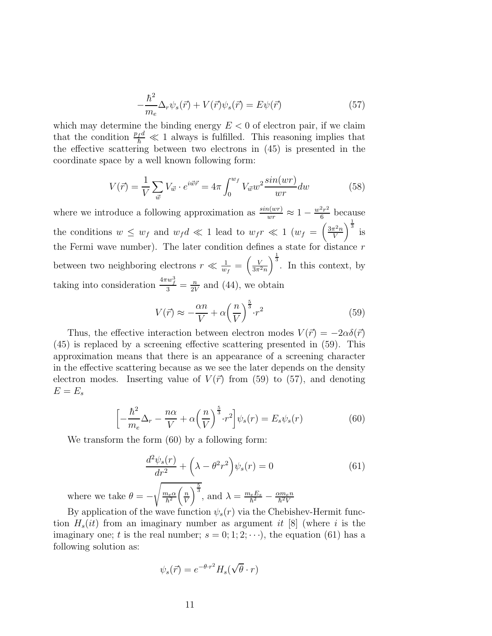$$
-\frac{\hbar^2}{m_e}\Delta_r\psi_s(\vec{r}) + V(\vec{r})\psi_s(\vec{r}) = E\psi(\vec{r})\tag{57}
$$

which may determine the binding energy  $E < 0$  of electron pair, if we claim that the condition  $\frac{p_f d}{\hbar} \ll 1$  always is fulfilled. This reasoning implies that the effective scattering between two electrons in (45) is presented in the coordinate space by a well known following form:

$$
V(\vec{r}) = \frac{1}{V} \sum_{\vec{w}} V_{\vec{w}} \cdot e^{i\vec{w}\vec{r}} = 4\pi \int_0^{w_f} V_{\vec{w}} w^2 \frac{\sin(wr)}{wr} dw \tag{58}
$$

where we introduce a following approximation as  $\frac{\sin(wr)}{wr} \approx 1 - \frac{w^2r^2}{6}$  $rac{2r^2}{6}$  because the conditions  $w \leq w_f$  and  $w_f d \ll 1$  lead to  $w_f r \ll 1$   $(w_f = \left(\frac{3\pi^2 n}{V}\right)^2)$ V  $\int^{\frac{1}{3}}$  is the Fermi wave number). The later condition defines a state for distance  $r$ between two neighboring electrons  $r \ll \frac{1}{w_f} = \left(\frac{V}{3\pi^2 n}\right)$  $\int_{0}^{\frac{1}{3}}$ . In this context, by taking into consideration  $\frac{4\pi w_f^3}{3} = \frac{n}{2V}$  $\frac{n}{2V}$  and (44), we obtain

$$
V(\vec{r}) \approx -\frac{\alpha n}{V} + \alpha \left(\frac{n}{V}\right)^{\frac{5}{3}} \cdot r^2
$$
\n(59)

Thus, the effective interaction between electron modes  $V(\vec{r}) = -2\alpha\delta(\vec{r})$ (45) is replaced by a screening effective scattering presented in (59). This approximation means that there is an appearance of a screening character in the effective scattering because as we see the later depends on the density electron modes. Inserting value of  $V(\vec{r})$  from (59) to (57), and denoting  $E = E_s$ 

$$
\left[-\frac{\hbar^2}{m_e}\Delta_r - \frac{n\alpha}{V} + \alpha\left(\frac{n}{V}\right)^{\frac{5}{3}} \cdot r^2\right] \psi_s(r) = E_s \psi_s(r) \tag{60}
$$

We transform the form (60) by a following form:

$$
\frac{d^2\psi_s(r)}{dr^2} + \left(\lambda - \theta^2 r^2\right)\psi_s(r) = 0\tag{61}
$$

where we take  $\theta = \sqrt{\frac{m_e \alpha}{m_e \alpha}}$  $\frac{n_e \alpha}{\hbar^2} \bigg( \frac{n}{V}$ V  $\overline{\bigg\}^{\frac{5}{3}}$ , and  $\lambda = \frac{m_e E_s}{\hbar^2}$  $\frac{\hbar e E_s}{\hbar^2} - \frac{\alpha m_e n}{\hbar^2 V}$  $\hbar^2$ V

By application of the wave function  $\psi_s(r)$  via the Chebishev-Hermit function  $H_s(it)$  from an imaginary number as argument it [8] (where i is the imaginary one; t is the real number;  $s = 0; 1; 2; \dots$ , the equation (61) has a following solution as:

$$
\psi_s(\vec{r}) = e^{-\theta \cdot r^2} H_s(\sqrt{\theta} \cdot r)
$$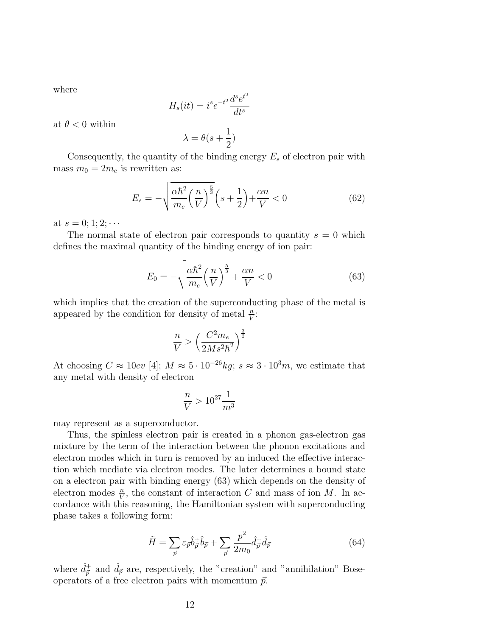where

$$
H_s(it) = i^s e^{-t^2} \frac{d^s e^{t^2}}{dt^s}
$$

at  $\theta < 0$  within

$$
\lambda = \theta(s + \frac{1}{2})
$$

Consequently, the quantity of the binding energy  $E_s$  of electron pair with mass  $m_0 = 2m_e$  is rewritten as:

$$
E_s = -\sqrt{\frac{\alpha \hbar^2}{m_e} \left(\frac{n}{V}\right)^{\frac{5}{3}}} \left(s + \frac{1}{2}\right) + \frac{\alpha n}{V} < 0 \tag{62}
$$

at  $s = 0; 1; 2; \cdots$ 

The normal state of electron pair corresponds to quantity  $s = 0$  which defines the maximal quantity of the binding energy of ion pair:

$$
E_0 = -\sqrt{\frac{\alpha \hbar^2}{m_e} \left(\frac{n}{V}\right)^{\frac{5}{3}}} + \frac{\alpha n}{V} < 0 \tag{63}
$$

which implies that the creation of the superconducting phase of the metal is appeared by the condition for density of metal  $\frac{n}{V}$ :

$$
\frac{n}{V} > \left(\frac{C^2 m_e}{2Ms^2\hbar^2}\right)^{\frac{3}{2}}
$$

At choosing  $C \approx 10ev$  [4];  $M \approx 5 \cdot 10^{-26} kg$ ;  $s \approx 3 \cdot 10^3 m$ , we estimate that any metal with density of electron

$$
\frac{n}{V}>10^{27}\frac{1}{m^3}
$$

may represent as a superconductor.

Thus, the spinless electron pair is created in a phonon gas-electron gas mixture by the term of the interaction between the phonon excitations and electron modes which in turn is removed by an induced the effective interaction which mediate via electron modes. The later determines a bound state on a electron pair with binding energy (63) which depends on the density of electron modes  $\frac{n}{V}$ , the constant of interaction C and mass of ion M. In accordance with this reasoning, the Hamiltonian system with superconducting phase takes a following form:

$$
\tilde{H} = \sum_{\vec{p}} \varepsilon_{\vec{p}} \hat{b}_{\vec{p}}^{\dagger} \hat{b}_{\vec{p}} + \sum_{\vec{p}} \frac{p^2}{2m_0} \hat{d}_{\vec{p}}^{\dagger} \hat{d}_{\vec{p}} \tag{64}
$$

where  $\hat{d}_{\vec{p}}^+$  and  $\hat{d}_{\vec{p}}$  are, respectively, the "creation" and "annihilation" Boseoperators of a free electron pairs with momentum  $\vec{p}.$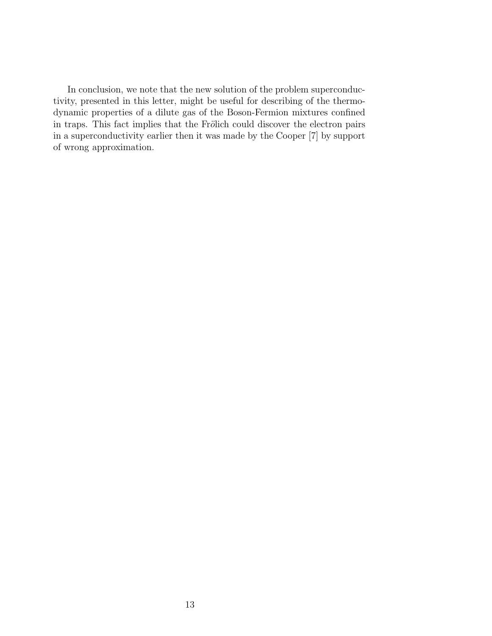In conclusion, we note that the new solution of the problem superconductivity, presented in this letter, might be useful for describing of the thermodynamic properties of a dilute gas of the Boson-Fermion mixtures confined in traps. This fact implies that the Frölich could discover the electron pairs in a superconductivity earlier then it was made by the Cooper [7] by support of wrong approximation.